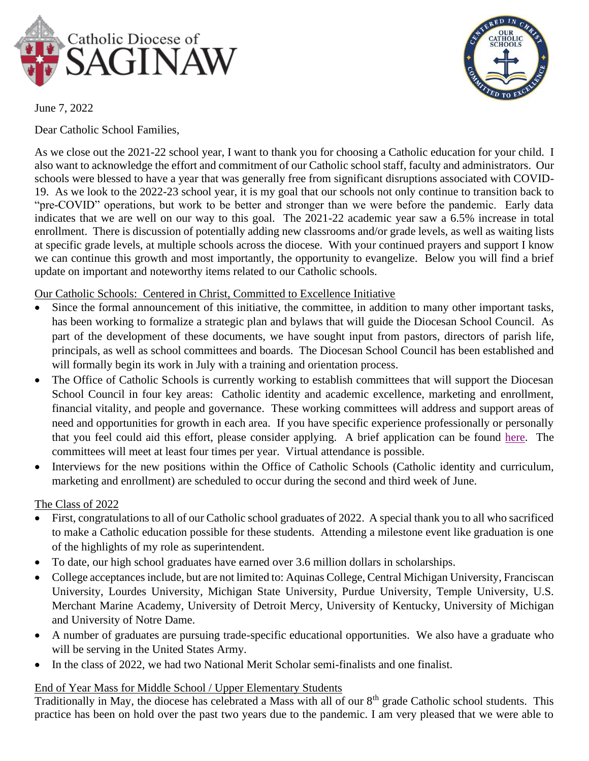



June 7, 2022

Dear Catholic School Families,

As we close out the 2021-22 school year, I want to thank you for choosing a Catholic education for your child. I also want to acknowledge the effort and commitment of our Catholic school staff, faculty and administrators. Our schools were blessed to have a year that was generally free from significant disruptions associated with COVID-19. As we look to the 2022-23 school year, it is my goal that our schools not only continue to transition back to "pre-COVID" operations, but work to be better and stronger than we were before the pandemic. Early data indicates that we are well on our way to this goal. The 2021-22 academic year saw a 6.5% increase in total enrollment. There is discussion of potentially adding new classrooms and/or grade levels, as well as waiting lists at specific grade levels, at multiple schools across the diocese. With your continued prayers and support I know we can continue this growth and most importantly, the opportunity to evangelize. Below you will find a brief update on important and noteworthy items related to our Catholic schools.

# Our Catholic Schools: Centered in Christ, Committed to Excellence Initiative

- Since the formal announcement of this initiative, the committee, in addition to many other important tasks, has been working to formalize a strategic plan and bylaws that will guide the Diocesan School Council. As part of the development of these documents, we have sought input from pastors, directors of parish life, principals, as well as school committees and boards. The Diocesan School Council has been established and will formally begin its work in July with a training and orientation process.
- The Office of Catholic Schools is currently working to establish committees that will support the Diocesan School Council in four key areas: Catholic identity and academic excellence, marketing and enrollment, financial vitality, and people and governance. These working committees will address and support areas of need and opportunities for growth in each area. If you have specific experience professionally or personally that you feel could aid this effort, please consider applying. A brief application can be found [here.](https://forms.gle/3PMj4ib4AxET1kzS9) The committees will meet at least four times per year. Virtual attendance is possible.
- Interviews for the new positions within the Office of Catholic Schools (Catholic identity and curriculum, marketing and enrollment) are scheduled to occur during the second and third week of June.

# The Class of 2022

- First, congratulations to all of our Catholic school graduates of 2022. A special thank you to all who sacrificed to make a Catholic education possible for these students. Attending a milestone event like graduation is one of the highlights of my role as superintendent.
- To date, our high school graduates have earned over 3.6 million dollars in scholarships.
- College acceptances include, but are not limited to: Aquinas College, Central Michigan University, Franciscan University, Lourdes University, Michigan State University, Purdue University, Temple University, U.S. Merchant Marine Academy, University of Detroit Mercy, University of Kentucky, University of Michigan and University of Notre Dame.
- A number of graduates are pursuing trade-specific educational opportunities. We also have a graduate who will be serving in the United States Army.
- In the class of 2022, we had two National Merit Scholar semi-finalists and one finalist.

## End of Year Mass for Middle School / Upper Elementary Students

Traditionally in May, the diocese has celebrated a Mass with all of our  $8<sup>th</sup>$  grade Catholic school students. This practice has been on hold over the past two years due to the pandemic. I am very pleased that we were able to